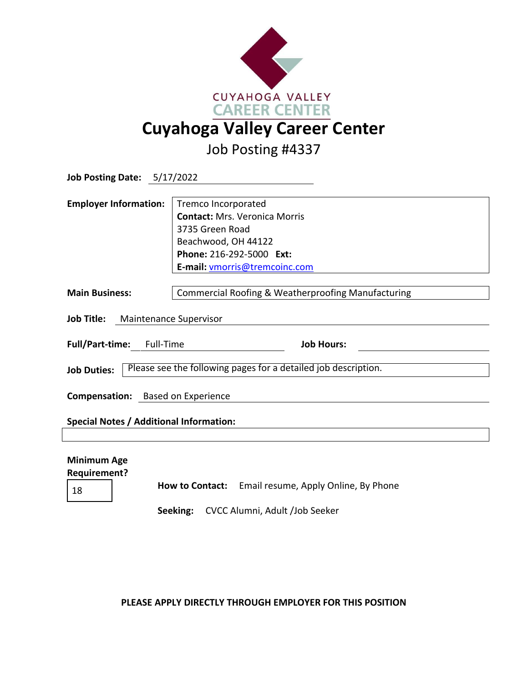

Job Posting #4337

| Job Posting Date: 5/17/2022                                                          |                                                                                                                                                                    |
|--------------------------------------------------------------------------------------|--------------------------------------------------------------------------------------------------------------------------------------------------------------------|
| <b>Employer Information:</b>                                                         | Tremco Incorporated<br><b>Contact: Mrs. Veronica Morris</b><br>3735 Green Road<br>Beachwood, OH 44122<br>Phone: 216-292-5000 Ext:<br>E-mail: vmorris@tremcoinc.com |
| <b>Main Business:</b>                                                                | <b>Commercial Roofing &amp; Weatherproofing Manufacturing</b>                                                                                                      |
| Job Title: Maintenance Supervisor                                                    |                                                                                                                                                                    |
| Full/Part-time: Full-Time                                                            | <b>Job Hours:</b>                                                                                                                                                  |
| Please see the following pages for a detailed job description.<br><b>Job Duties:</b> |                                                                                                                                                                    |
| Compensation: Based on Experience                                                    |                                                                                                                                                                    |
| <b>Special Notes / Additional Information:</b>                                       |                                                                                                                                                                    |
|                                                                                      |                                                                                                                                                                    |
| <b>Minimum Age</b><br><b>Requirement?</b>                                            | How to Contact: Email resume Annly Online By Phone                                                                                                                 |

<sup>18</sup> **How to Contact:** Email resume, Apply Online, By Phone

**Seeking:** CVCC Alumni, Adult /Job Seeker

**PLEASE APPLY DIRECTLY THROUGH EMPLOYER FOR THIS POSITION**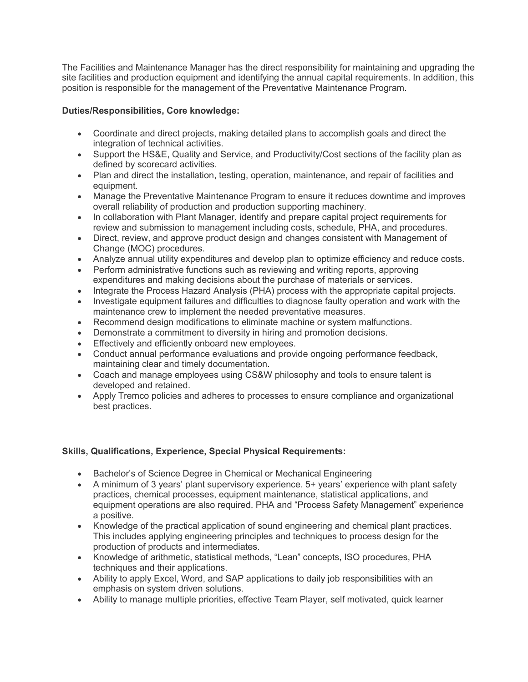The Facilities and Maintenance Manager has the direct responsibility for maintaining and upgrading the site facilities and production equipment and identifying the annual capital requirements. In addition, this position is responsible for the management of the Preventative Maintenance Program.

## **Duties/Responsibilities, Core knowledge:**

- Coordinate and direct projects, making detailed plans to accomplish goals and direct the integration of technical activities.
- Support the HS&E, Quality and Service, and Productivity/Cost sections of the facility plan as defined by scorecard activities.
- Plan and direct the installation, testing, operation, maintenance, and repair of facilities and equipment.
- Manage the Preventative Maintenance Program to ensure it reduces downtime and improves overall reliability of production and production supporting machinery.
- In collaboration with Plant Manager, identify and prepare capital project requirements for review and submission to management including costs, schedule, PHA, and procedures.
- Direct, review, and approve product design and changes consistent with Management of Change (MOC) procedures.
- Analyze annual utility expenditures and develop plan to optimize efficiency and reduce costs.
- Perform administrative functions such as reviewing and writing reports, approving expenditures and making decisions about the purchase of materials or services.
- Integrate the Process Hazard Analysis (PHA) process with the appropriate capital projects.
- Investigate equipment failures and difficulties to diagnose faulty operation and work with the maintenance crew to implement the needed preventative measures.
- Recommend design modifications to eliminate machine or system malfunctions.
- Demonstrate a commitment to diversity in hiring and promotion decisions.
- Effectively and efficiently onboard new employees.
- Conduct annual performance evaluations and provide ongoing performance feedback, maintaining clear and timely documentation.
- Coach and manage employees using CS&W philosophy and tools to ensure talent is developed and retained.
- Apply Tremco policies and adheres to processes to ensure compliance and organizational best practices.

## **Skills, Qualifications, Experience, Special Physical Requirements:**

- Bachelor's of Science Degree in Chemical or Mechanical Engineering
- A minimum of 3 years' plant supervisory experience. 5+ years' experience with plant safety practices, chemical processes, equipment maintenance, statistical applications, and equipment operations are also required. PHA and "Process Safety Management" experience a positive.
- Knowledge of the practical application of sound engineering and chemical plant practices. This includes applying engineering principles and techniques to process design for the production of products and intermediates.
- Knowledge of arithmetic, statistical methods, "Lean" concepts, ISO procedures, PHA techniques and their applications.
- Ability to apply Excel, Word, and SAP applications to daily job responsibilities with an emphasis on system driven solutions.
- Ability to manage multiple priorities, effective Team Player, self motivated, quick learner